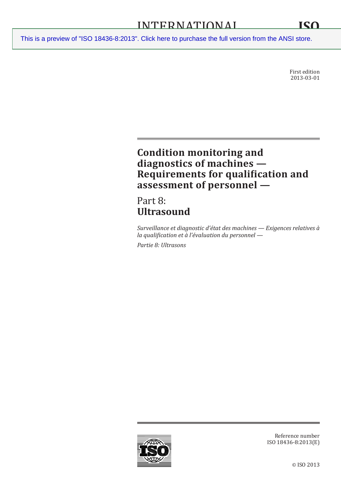First edition 2013-03-01

# **Condition monitoring and diagnostics of machines — Requirements for qualification and assessment of personnel —**

Part 8: **Ultrasound**

*Surveillance et diagnostic d'état des machines — Exigences relatives à la qualification et à l'évaluation du personnel — Partie 8: Ultrasons*

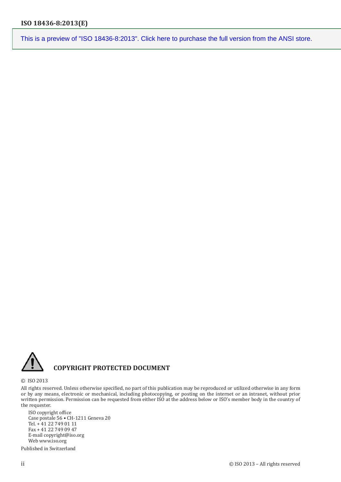

## **COPYRIGHT PROTECTED DOCUMENT**

© ISO 2013

All rights reserved. Unless otherwise specified, no part of this publication may be reproduced or utilized otherwise in any form or by any means, electronic or mechanical, including photocopying, or posting on the internet or an intranet, without prior written permission. Permission can be requested from either ISO at the address below or ISO's member body in the country of the requester.

ISO copyright office Case postale 56 • CH-1211 Geneva 20 Tel. + 41 22 749 01 11 Fax + 41 22 749 09 47 E-mail copyright@iso.org Web www.iso.org

Published in Switzerland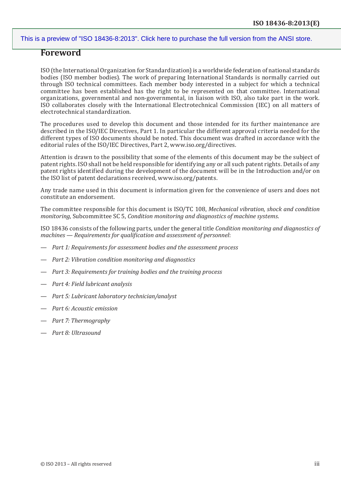## **Foreword**

ISO (the International Organization for Standardization) is a worldwide federation of national standards bodies (ISO member bodies). The work of preparing International Standards is normally carried out through ISO technical committees. Each member body interested in a subject for which a technical committee has been established has the right to be represented on that committee. International organizations, governmental and non-governmental, in liaison with ISO, also take part in the work. ISO collaborates closely with the International Electrotechnical Commission (IEC) on all matters of electrotechnical standardization.

The procedures used to develop this document and those intended for its further maintenance are described in the ISO/IEC Directives, Part 1. In particular the different approval criteria needed for the different types of ISO documents should be noted. This document was drafted in accordance with the editorial rules of the ISO/IEC Directives, Part 2, [www.iso.org/directives.](http://www.iso.org/directives)

Attention is drawn to the possibility that some of the elements of this document may be the subject of patent rights. ISO shall not be held responsible for identifying any or all such patent rights. Details of any patent rights identified during the development of the document will be in the Introduction and/or on the ISO list of patent declarations received, [www.iso.org/patents.](http://www.iso.org/patents)

Any trade name used in this document is information given for the convenience of users and does not constitute an endorsement.

The committee responsible for this document is ISO/TC 108, *Mechanical vibration, shock and condition monitoring*, Subcommittee SC 5, *Condition monitoring and diagnostics of machine systems*.

ISO 18436 consists of the following parts, under the general title *Condition monitoring and diagnostics of machines — Requirements for qualification and assessment of personnel*:

- *Part 1: Requirements for assessment bodies and the assessment process*
- *Part 2: Vibration condition monitoring and diagnostics*
- *Part 3: Requirements for training bodies and the training process*
- *Part 4: Field lubricant analysis*
- *Part 5: Lubricant laboratory technician/analyst*
- *Part 6: Acoustic emission*
- *Part 7: Thermography*
- *Part 8: Ultrasound*